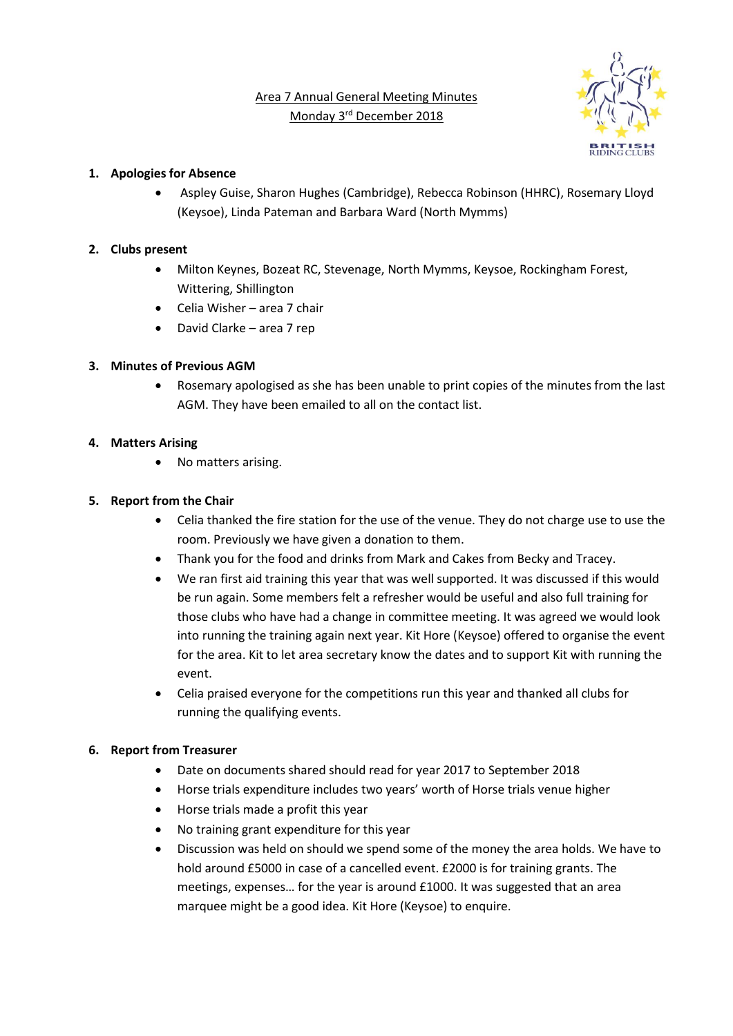Area 7 Annual General Meeting Minutes Monday 3<sup>rd</sup> December 2018



## **1. Apologies for Absence**

• Aspley Guise, Sharon Hughes (Cambridge), Rebecca Robinson (HHRC), Rosemary Lloyd (Keysoe), Linda Pateman and Barbara Ward (North Mymms)

## **2. Clubs present**

- Milton Keynes, Bozeat RC, Stevenage, North Mymms, Keysoe, Rockingham Forest, Wittering, Shillington
- Celia Wisher area 7 chair
- David Clarke area 7 rep

## **3. Minutes of Previous AGM**

• Rosemary apologised as she has been unable to print copies of the minutes from the last AGM. They have been emailed to all on the contact list.

## **4. Matters Arising**

• No matters arising.

## **5. Report from the Chair**

- Celia thanked the fire station for the use of the venue. They do not charge use to use the room. Previously we have given a donation to them.
- Thank you for the food and drinks from Mark and Cakes from Becky and Tracey.
- We ran first aid training this year that was well supported. It was discussed if this would be run again. Some members felt a refresher would be useful and also full training for those clubs who have had a change in committee meeting. It was agreed we would look into running the training again next year. Kit Hore (Keysoe) offered to organise the event for the area. Kit to let area secretary know the dates and to support Kit with running the event.
- Celia praised everyone for the competitions run this year and thanked all clubs for running the qualifying events.

## **6. Report from Treasurer**

- Date on documents shared should read for year 2017 to September 2018
- Horse trials expenditure includes two years' worth of Horse trials venue higher
- Horse trials made a profit this year
- No training grant expenditure for this year
- Discussion was held on should we spend some of the money the area holds. We have to hold around £5000 in case of a cancelled event. £2000 is for training grants. The meetings, expenses… for the year is around £1000. It was suggested that an area marquee might be a good idea. Kit Hore (Keysoe) to enquire.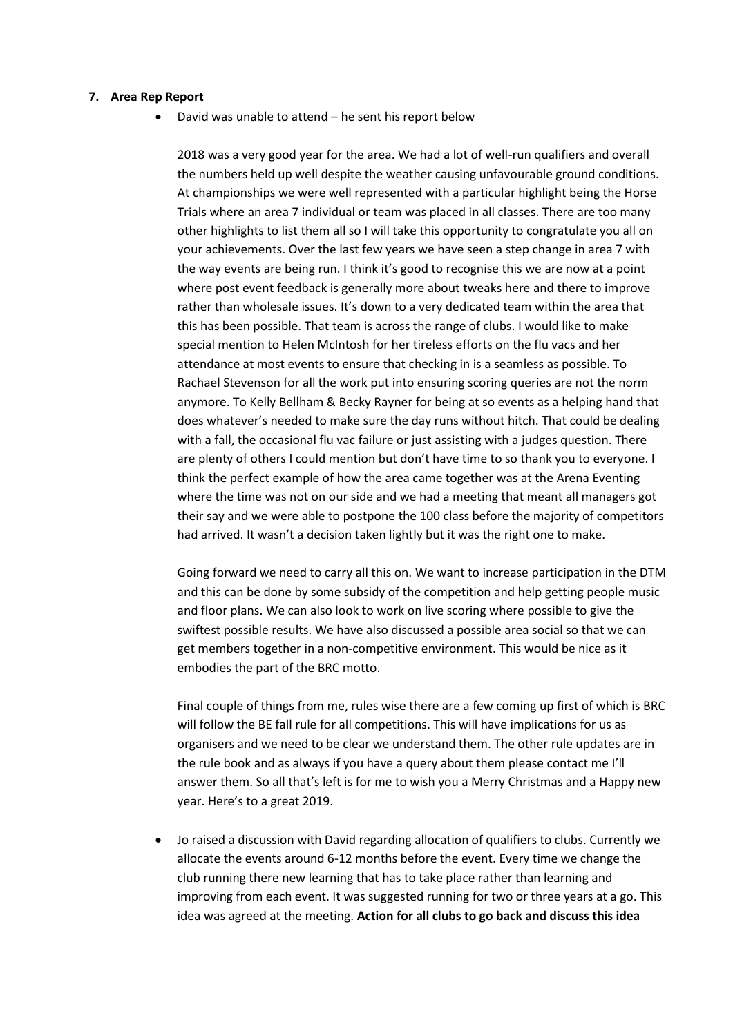#### **7. Area Rep Report**

• David was unable to attend – he sent his report below

2018 was a very good year for the area. We had a lot of well-run qualifiers and overall the numbers held up well despite the weather causing unfavourable ground conditions. At championships we were well represented with a particular highlight being the Horse Trials where an area 7 individual or team was placed in all classes. There are too many other highlights to list them all so I will take this opportunity to congratulate you all on your achievements. Over the last few years we have seen a step change in area 7 with the way events are being run. I think it's good to recognise this we are now at a point where post event feedback is generally more about tweaks here and there to improve rather than wholesale issues. It's down to a very dedicated team within the area that this has been possible. That team is across the range of clubs. I would like to make special mention to Helen McIntosh for her tireless efforts on the flu vacs and her attendance at most events to ensure that checking in is a seamless as possible. To Rachael Stevenson for all the work put into ensuring scoring queries are not the norm anymore. To Kelly Bellham & Becky Rayner for being at so events as a helping hand that does whatever's needed to make sure the day runs without hitch. That could be dealing with a fall, the occasional flu vac failure or just assisting with a judges question. There are plenty of others I could mention but don't have time to so thank you to everyone. I think the perfect example of how the area came together was at the Arena Eventing where the time was not on our side and we had a meeting that meant all managers got their say and we were able to postpone the 100 class before the majority of competitors had arrived. It wasn't a decision taken lightly but it was the right one to make.

Going forward we need to carry all this on. We want to increase participation in the DTM and this can be done by some subsidy of the competition and help getting people music and floor plans. We can also look to work on live scoring where possible to give the swiftest possible results. We have also discussed a possible area social so that we can get members together in a non-competitive environment. This would be nice as it embodies the part of the BRC motto.

Final couple of things from me, rules wise there are a few coming up first of which is BRC will follow the BE fall rule for all competitions. This will have implications for us as organisers and we need to be clear we understand them. The other rule updates are in the rule book and as always if you have a query about them please contact me I'll answer them. So all that's left is for me to wish you a Merry Christmas and a Happy new year. Here's to a great 2019.

• Jo raised a discussion with David regarding allocation of qualifiers to clubs. Currently we allocate the events around 6-12 months before the event. Every time we change the club running there new learning that has to take place rather than learning and improving from each event. It was suggested running for two or three years at a go. This idea was agreed at the meeting. **Action for all clubs to go back and discuss this idea**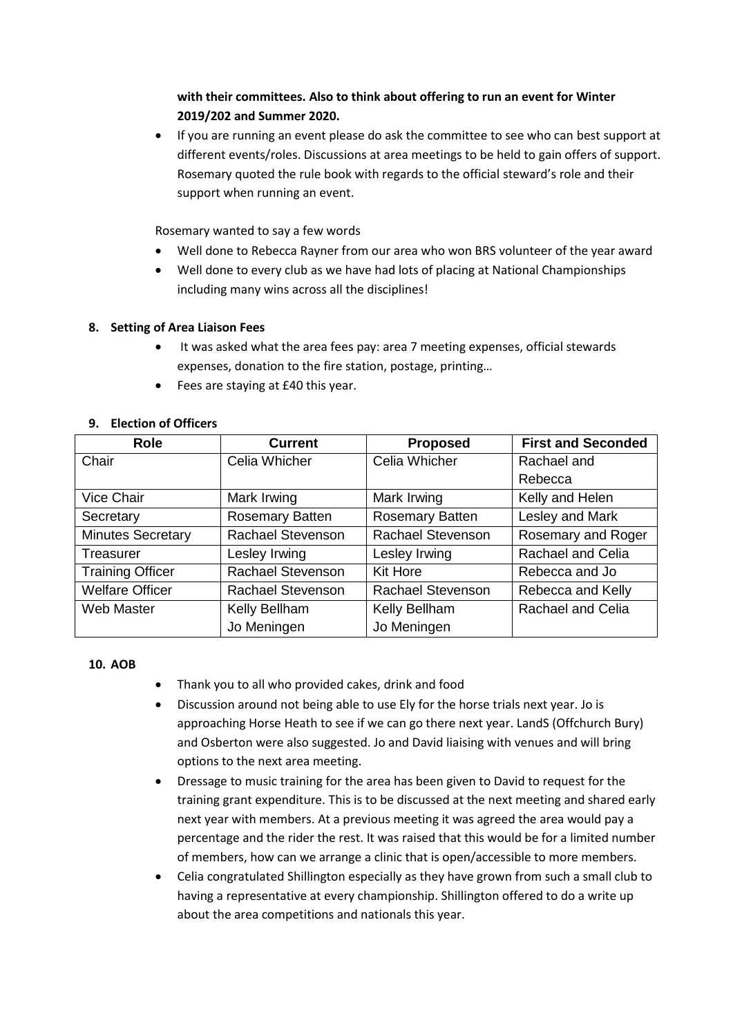# **with their committees. Also to think about offering to run an event for Winter 2019/202 and Summer 2020.**

• If you are running an event please do ask the committee to see who can best support at different events/roles. Discussions at area meetings to be held to gain offers of support. Rosemary quoted the rule book with regards to the official steward's role and their support when running an event.

Rosemary wanted to say a few words

- Well done to Rebecca Rayner from our area who won BRS volunteer of the year award
- Well done to every club as we have had lots of placing at National Championships including many wins across all the disciplines!

## **8. Setting of Area Liaison Fees**

- It was asked what the area fees pay: area 7 meeting expenses, official stewards expenses, donation to the fire station, postage, printing…
- Fees are staying at £40 this year.

| <b>Role</b>              | <b>Current</b>         | <b>Proposed</b>          | <b>First and Seconded</b> |
|--------------------------|------------------------|--------------------------|---------------------------|
| Chair                    | Celia Whicher          | Celia Whicher            | Rachael and               |
|                          |                        |                          | Rebecca                   |
| <b>Vice Chair</b>        | Mark Irwing            | Mark Irwing              | Kelly and Helen           |
| Secretary                | <b>Rosemary Batten</b> | <b>Rosemary Batten</b>   | Lesley and Mark           |
| <b>Minutes Secretary</b> | Rachael Stevenson      | <b>Rachael Stevenson</b> | Rosemary and Roger        |
| Treasurer                | Lesley Irwing          | Lesley Irwing            | Rachael and Celia         |
| <b>Training Officer</b>  | Rachael Stevenson      | Kit Hore                 | Rebecca and Jo            |
| <b>Welfare Officer</b>   | Rachael Stevenson      | <b>Rachael Stevenson</b> | Rebecca and Kelly         |
| <b>Web Master</b>        | Kelly Bellham          | Kelly Bellham            | Rachael and Celia         |
|                          | Jo Meningen            | Jo Meningen              |                           |

## **9. Election of Officers**

### **10. AOB**

- Thank you to all who provided cakes, drink and food
- Discussion around not being able to use Ely for the horse trials next year. Jo is approaching Horse Heath to see if we can go there next year. LandS (Offchurch Bury) and Osberton were also suggested. Jo and David liaising with venues and will bring options to the next area meeting.
- Dressage to music training for the area has been given to David to request for the training grant expenditure. This is to be discussed at the next meeting and shared early next year with members. At a previous meeting it was agreed the area would pay a percentage and the rider the rest. It was raised that this would be for a limited number of members, how can we arrange a clinic that is open/accessible to more members.
- Celia congratulated Shillington especially as they have grown from such a small club to having a representative at every championship. Shillington offered to do a write up about the area competitions and nationals this year.